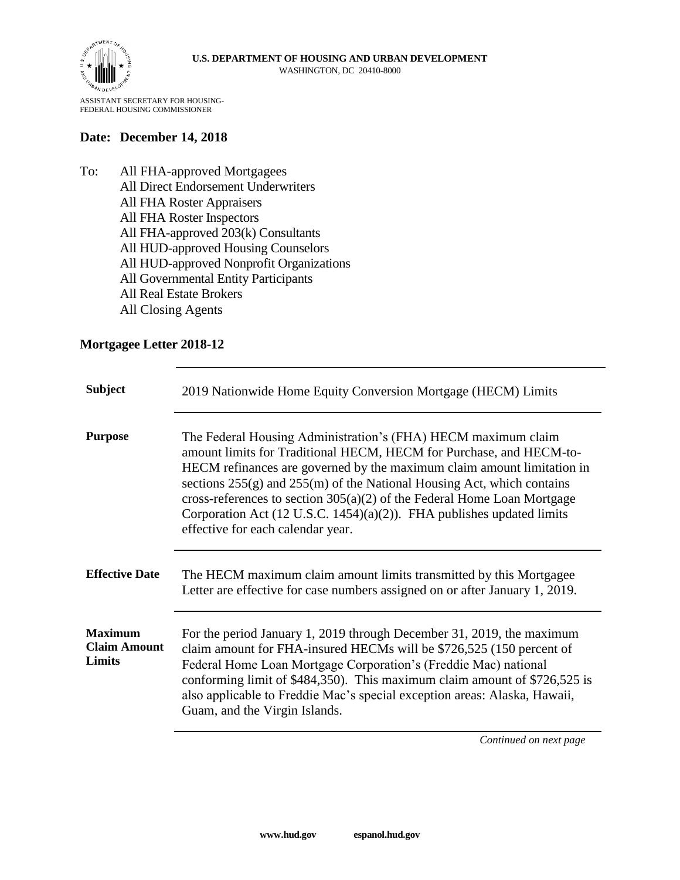

ASSISTANT SECRETARY FOR HOUSING-FEDERAL HOUSING COMMISSIONER

## **Date: December 14, 2018**

To: All FHA-approved Mortgagees All Direct Endorsement Underwriters All FHA Roster Appraisers All FHA Roster Inspectors All FHA-approved 203(k) Consultants All HUD-approved Housing Counselors All HUD-approved Nonprofit Organizations All Governmental Entity Participants All Real Estate Brokers All Closing Agents

## **Mortgagee Letter 2018-12**

| <b>Subject</b>                                  | 2019 Nationwide Home Equity Conversion Mortgage (HECM) Limits                                                                                                                                                                                                                                                                                                                                                                                                                                       |
|-------------------------------------------------|-----------------------------------------------------------------------------------------------------------------------------------------------------------------------------------------------------------------------------------------------------------------------------------------------------------------------------------------------------------------------------------------------------------------------------------------------------------------------------------------------------|
| <b>Purpose</b>                                  | The Federal Housing Administration's (FHA) HECM maximum claim<br>amount limits for Traditional HECM, HECM for Purchase, and HECM-to-<br>HECM refinances are governed by the maximum claim amount limitation in<br>sections $255(g)$ and $255(m)$ of the National Housing Act, which contains<br>cross-references to section $305(a)(2)$ of the Federal Home Loan Mortgage<br>Corporation Act $(12 \text{ U.S.C. } 1454)(a)(2)$ ). FHA publishes updated limits<br>effective for each calendar year. |
| <b>Effective Date</b>                           | The HECM maximum claim amount limits transmitted by this Mortgagee<br>Letter are effective for case numbers assigned on or after January 1, 2019.                                                                                                                                                                                                                                                                                                                                                   |
| <b>Maximum</b><br><b>Claim Amount</b><br>Limits | For the period January 1, 2019 through December 31, 2019, the maximum<br>claim amount for FHA-insured HECMs will be \$726,525 (150 percent of<br>Federal Home Loan Mortgage Corporation's (Freddie Mac) national<br>conforming limit of \$484,350). This maximum claim amount of \$726,525 is<br>also applicable to Freddie Mac's special exception areas: Alaska, Hawaii,<br>Guam, and the Virgin Islands.                                                                                         |

*Continued on next page*